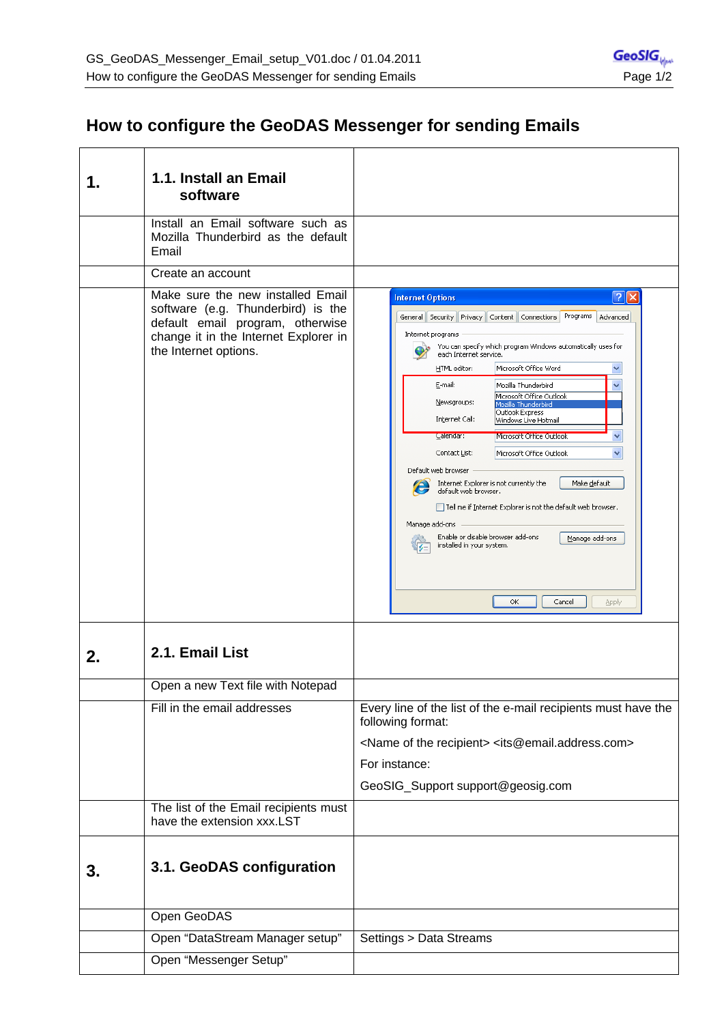## **How to configure the GeoDAS Messenger for sending Emails**

|    | 1.1. Install an Email<br>software<br>Install an Email software such as                                                                                                        |                                                                                                                                                                                                                                                                                                                                                                                                                                                                                                                                                                                                                                                                                                                                                                                                                                                           |
|----|-------------------------------------------------------------------------------------------------------------------------------------------------------------------------------|-----------------------------------------------------------------------------------------------------------------------------------------------------------------------------------------------------------------------------------------------------------------------------------------------------------------------------------------------------------------------------------------------------------------------------------------------------------------------------------------------------------------------------------------------------------------------------------------------------------------------------------------------------------------------------------------------------------------------------------------------------------------------------------------------------------------------------------------------------------|
|    | Mozilla Thunderbird as the default<br>Email                                                                                                                                   |                                                                                                                                                                                                                                                                                                                                                                                                                                                                                                                                                                                                                                                                                                                                                                                                                                                           |
|    | Create an account                                                                                                                                                             |                                                                                                                                                                                                                                                                                                                                                                                                                                                                                                                                                                                                                                                                                                                                                                                                                                                           |
|    | Make sure the new installed Email<br>software (e.g. Thunderbird) is the<br>default email program, otherwise<br>change it in the Internet Explorer in<br>the Internet options. | $\frac{1}{2}$ $\mathbf{X}$<br><b>Internet Options</b><br>Programs<br>General Security Privacy Content Connections<br>Advanced<br>Internet programs<br>You can specify which program Windows automatically uses for<br>each Internet service.<br>Microsoft Office Word<br>HTML editor:<br>E-mail:<br>Mozilla Thunderbird<br>Microsoft Office Outlook<br>Newsgroups:<br>Mozilla Thunderbird<br>Outlook Express<br>Internet Call:<br>Windows Live Hotmail<br>Calendar:<br>Microsoft Office Outlook<br>Contact List:<br>Microsoft Office Outlook<br>Default web browser<br>Internet Explorer is not currently the<br>Make default<br>e<br>default web browser.<br>Tell me if Internet Explorer is not the default web browser.<br>Manage add-ons<br>Enable or disable browser add-ons<br>Manage add-ons<br>installed in your system.<br>ОК<br>Cancel<br>Apply |
| 2. | 2.1. Email List                                                                                                                                                               |                                                                                                                                                                                                                                                                                                                                                                                                                                                                                                                                                                                                                                                                                                                                                                                                                                                           |
|    | Open a new Text file with Notepad                                                                                                                                             |                                                                                                                                                                                                                                                                                                                                                                                                                                                                                                                                                                                                                                                                                                                                                                                                                                                           |
|    | Fill in the email addresses                                                                                                                                                   | Every line of the list of the e-mail recipients must have the<br>following format:<br><name of="" recipient="" the=""> <its@email.address.com><br/>For instance:<br/>GeoSIG_Support support@geosig.com</its@email.address.com></name>                                                                                                                                                                                                                                                                                                                                                                                                                                                                                                                                                                                                                     |
|    | The list of the Email recipients must<br>have the extension xxx.LST                                                                                                           |                                                                                                                                                                                                                                                                                                                                                                                                                                                                                                                                                                                                                                                                                                                                                                                                                                                           |
| 3. | 3.1. GeoDAS configuration                                                                                                                                                     |                                                                                                                                                                                                                                                                                                                                                                                                                                                                                                                                                                                                                                                                                                                                                                                                                                                           |
|    | Open GeoDAS                                                                                                                                                                   |                                                                                                                                                                                                                                                                                                                                                                                                                                                                                                                                                                                                                                                                                                                                                                                                                                                           |
|    | Open "DataStream Manager setup"                                                                                                                                               | Settings > Data Streams                                                                                                                                                                                                                                                                                                                                                                                                                                                                                                                                                                                                                                                                                                                                                                                                                                   |
|    | Open "Messenger Setup"                                                                                                                                                        |                                                                                                                                                                                                                                                                                                                                                                                                                                                                                                                                                                                                                                                                                                                                                                                                                                                           |